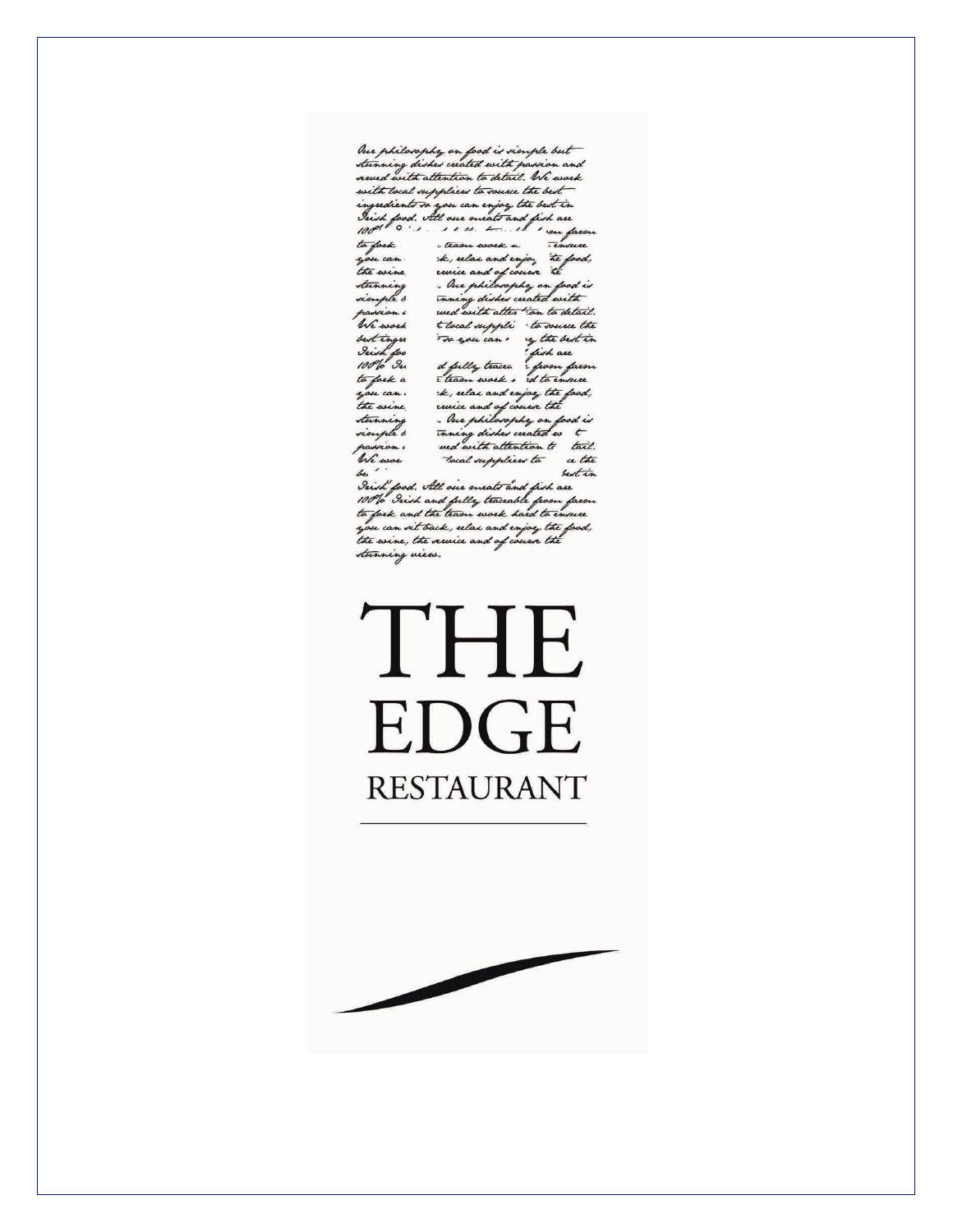Our philosophy on food is simple but<br>sterming dishes created with passion and<br>reved with attention to detail, We work with local suppliers to source the best ingredients to you can enjoy the best in<br>Irish food, All our meats and fish are<br>1001 0 ... rem t il impara to fark. is force.<br>In case the select one injoy the food,<br>the evene revise and of course the<br>sterming . Our philosophy on food is<br>viewple s traning dishes wated with We work theal suppli to source the we work the tocal supple to source the<br>best times to move can by the best time<br>I will for the diffully traces from favor<br>to fork a theory work of to immer<br>hou can . the relax and import the food, to post a team work & rd to immer<br>he can the villa and injoint the pool,<br>teaming suice and of course the pool is<br>dening shown the distribution to the passion into the set of the same that the same that<br>he work the set of t stunning<br>sionple b

We were the commonly that the first the set of the set of the set of the set of the set of the set of the set of the set of the set of the set of the set of the set of the set of the set of the set of the set of the set of stunning view.

# THE **EDGE RESTAURANT**

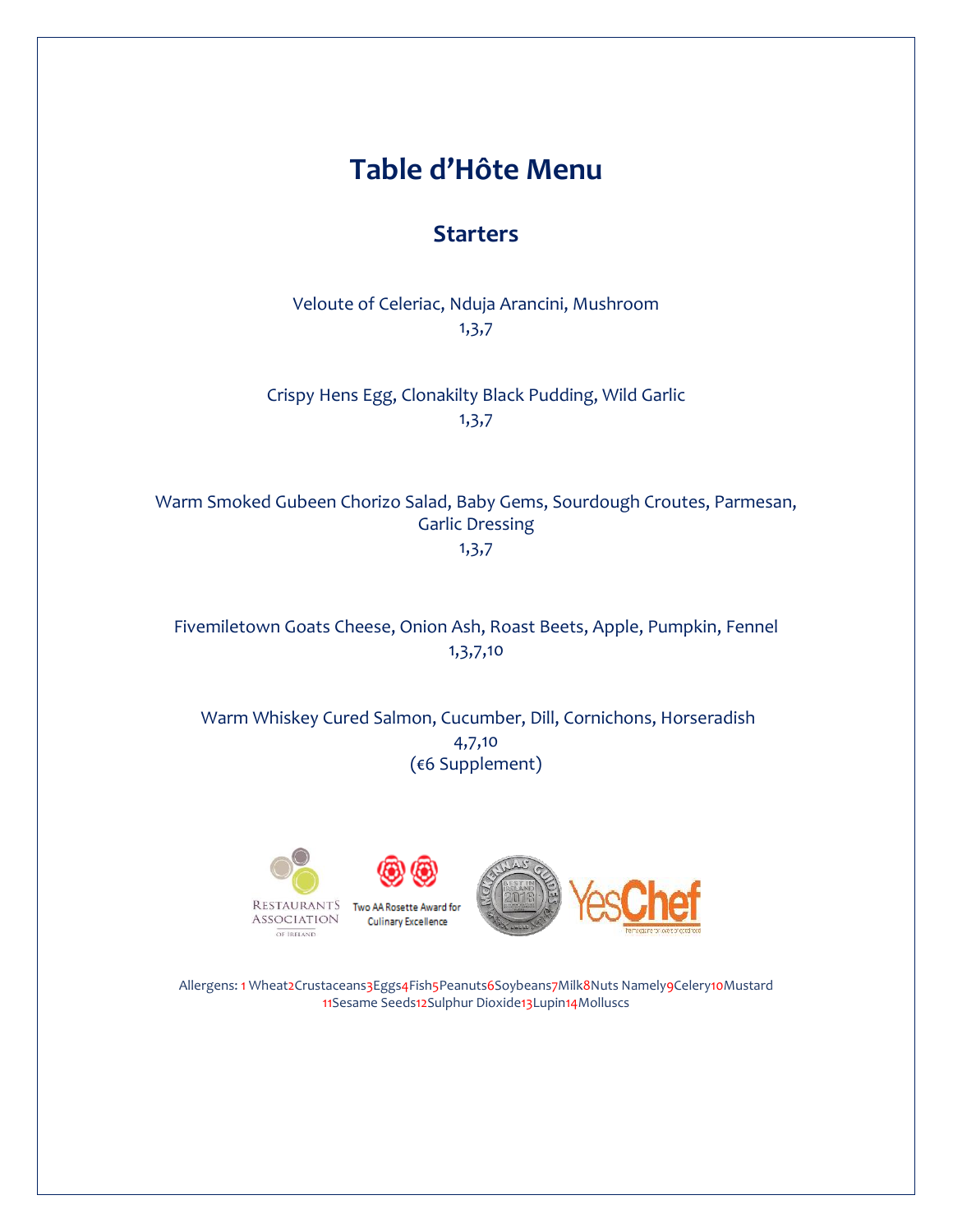## **Table d'Hôte Menu**

#### **Starters**

Veloute of Celeriac, Nduja Arancini, Mushroom 1,3,7

Crispy Hens Egg, Clonakilty Black Pudding, Wild Garlic 1,3,7

Warm Smoked Gubeen Chorizo Salad, Baby Gems, Sourdough Croutes, Parmesan, Garlic Dressing 1,3,7

Fivemiletown Goats Cheese, Onion Ash, Roast Beets, Apple, Pumpkin, Fennel 1,3,7,10

Warm Whiskey Cured Salmon, Cucumber, Dill, Cornichons, Horseradish 4,7,10 (€6 Supplement)



OF IRELAND



Two AA Rosette Award for **Culinary Excellence** 



Allergens: 1 Wheat2Crustaceans3Eggs4Fish5Peanuts6Soybeans7Milk8Nuts Namely9Celery10Mustard 11Sesame Seeds12Sulphur Dioxide13Lupin14Molluscs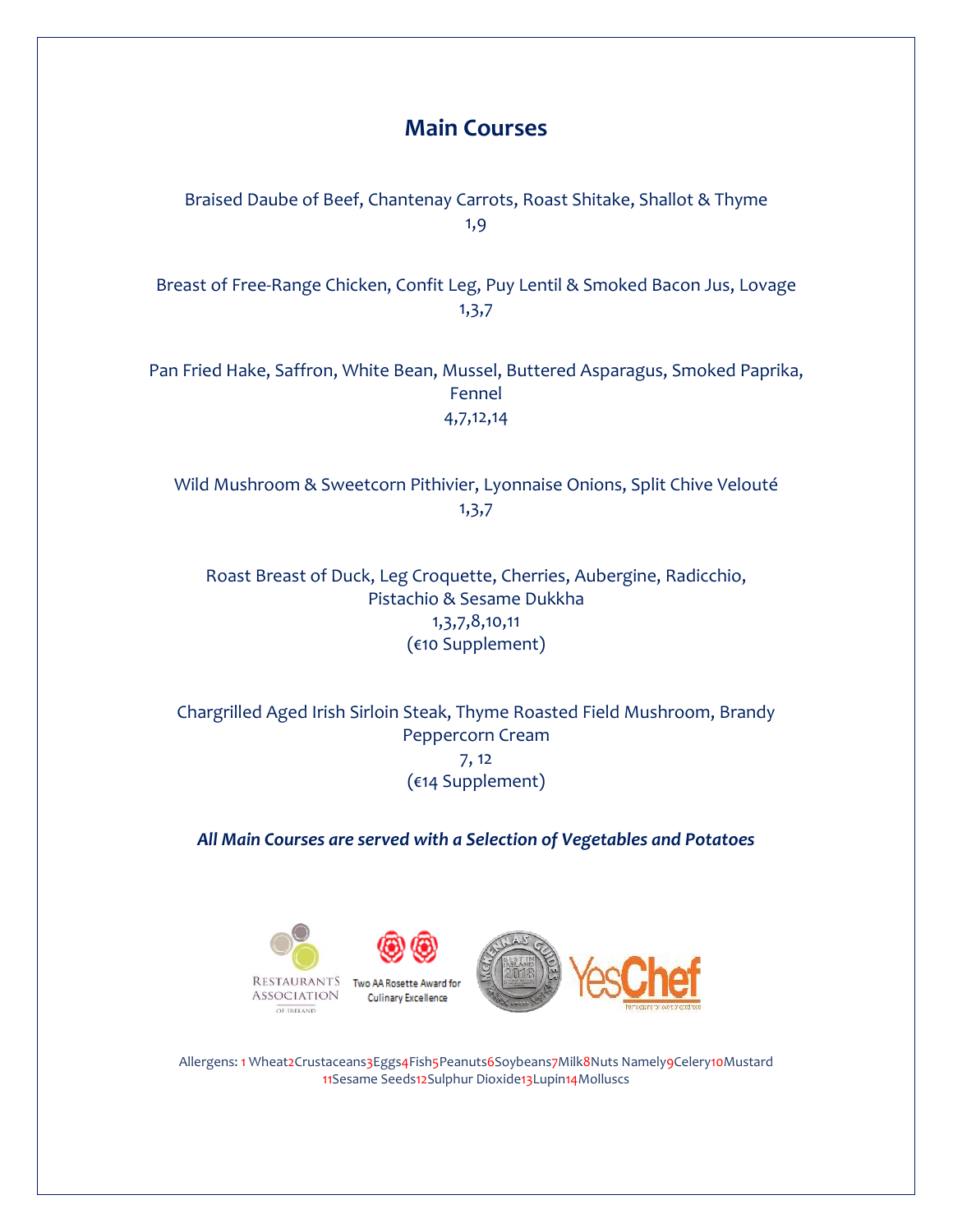### **Main Courses**

Braised Daube of Beef, Chantenay Carrots, Roast Shitake, Shallot & Thyme 1,9

Breast of Free-Range Chicken, Confit Leg, Puy Lentil & Smoked Bacon Jus, Lovage 1,3,7

Pan Fried Hake, Saffron, White Bean, Mussel, Buttered Asparagus, Smoked Paprika, Fennel 4,7,12,14

Wild Mushroom & Sweetcorn Pithivier, Lyonnaise Onions, Split Chive Velouté 1,3,7

Roast Breast of Duck, Leg Croquette, Cherries, Aubergine, Radicchio, Pistachio & Sesame Dukkha 1,3,7,8,10,11 (€10 Supplement)

Chargrilled Aged Irish Sirloin Steak, Thyme Roasted Field Mushroom, Brandy Peppercorn Cream 7, 12 (€14 Supplement)

*All Main Courses are served with a Selection of Vegetables and Potatoes*



Allergens: 1 Wheat2Crustaceans3Eggs4Fish5Peanuts6Soybeans7Milk8Nuts Namely9Celery10Mustard 11Sesame Seeds12Sulphur Dioxide13Lupin14Molluscs